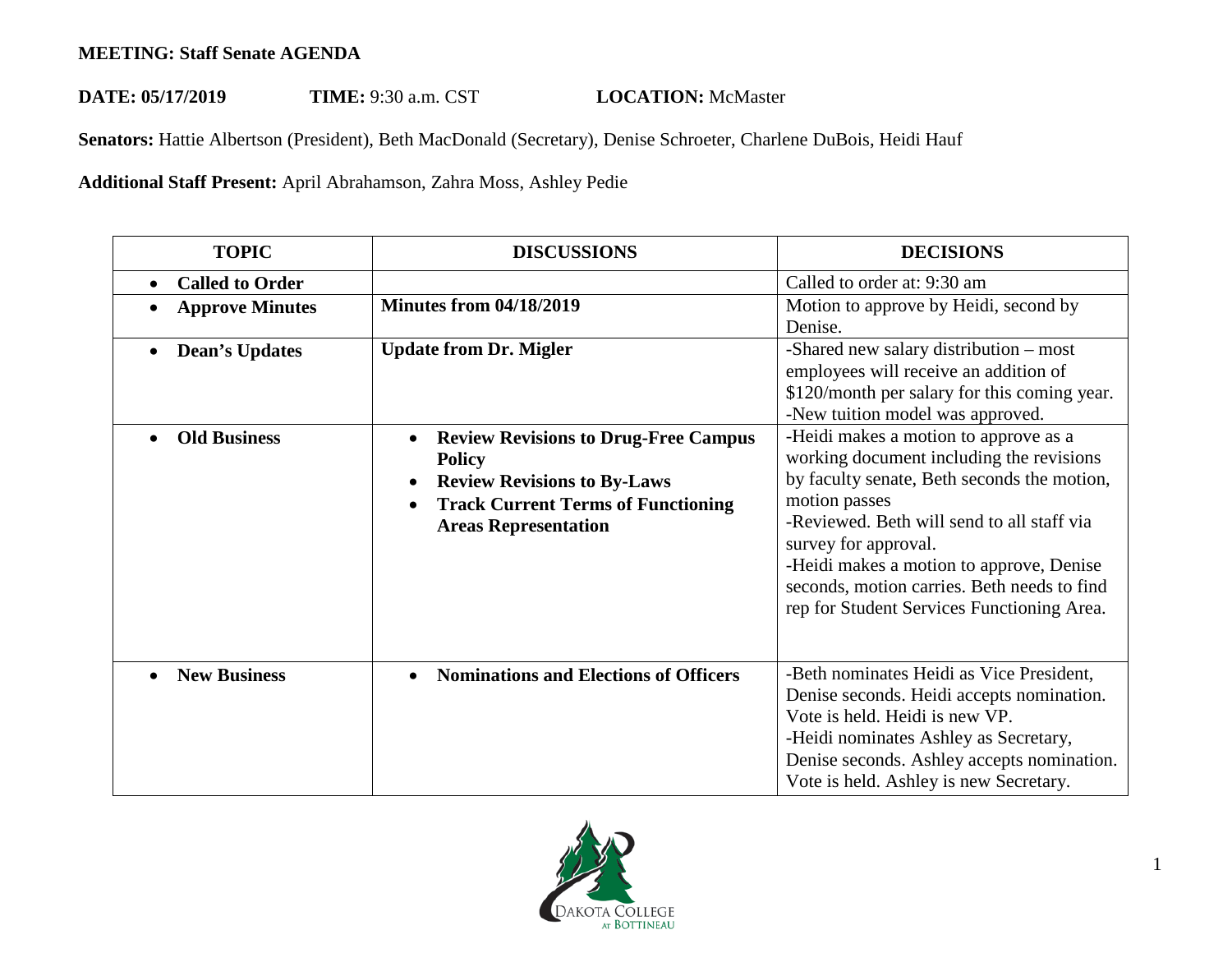## **MEETING: Staff Senate AGENDA**

DATE: 05/17/2019 TIME: 9:30 a.m. CST **LOCATION:** McMaster

Senators: Hattie Albertson (President), Beth MacDonald (Secretary), Denise Schroeter, Charlene DuBois, Heidi Hauf

**Additional Staff Present:** April Abrahamson, Zahra Moss, Ashley Pedie

| <b>TOPIC</b>           | <b>DISCUSSIONS</b>                                                                                                                                                             | <b>DECISIONS</b>                                                                                                                                                                                                                                                                                                                                                 |
|------------------------|--------------------------------------------------------------------------------------------------------------------------------------------------------------------------------|------------------------------------------------------------------------------------------------------------------------------------------------------------------------------------------------------------------------------------------------------------------------------------------------------------------------------------------------------------------|
| <b>Called to Order</b> |                                                                                                                                                                                | Called to order at: 9:30 am                                                                                                                                                                                                                                                                                                                                      |
| <b>Approve Minutes</b> | <b>Minutes from 04/18/2019</b>                                                                                                                                                 | Motion to approve by Heidi, second by<br>Denise.                                                                                                                                                                                                                                                                                                                 |
| <b>Dean's Updates</b>  | <b>Update from Dr. Migler</b>                                                                                                                                                  | -Shared new salary distribution – most<br>employees will receive an addition of<br>\$120/month per salary for this coming year.<br>-New tuition model was approved.                                                                                                                                                                                              |
| <b>Old Business</b>    | <b>Review Revisions to Drug-Free Campus</b><br><b>Policy</b><br><b>Review Revisions to By-Laws</b><br><b>Track Current Terms of Functioning</b><br><b>Areas Representation</b> | -Heidi makes a motion to approve as a<br>working document including the revisions<br>by faculty senate, Beth seconds the motion,<br>motion passes<br>-Reviewed. Beth will send to all staff via<br>survey for approval.<br>-Heidi makes a motion to approve, Denise<br>seconds, motion carries. Beth needs to find<br>rep for Student Services Functioning Area. |
| <b>New Business</b>    | <b>Nominations and Elections of Officers</b>                                                                                                                                   | -Beth nominates Heidi as Vice President,<br>Denise seconds. Heidi accepts nomination.<br>Vote is held. Heidi is new VP.<br>-Heidi nominates Ashley as Secretary,<br>Denise seconds. Ashley accepts nomination.<br>Vote is held. Ashley is new Secretary.                                                                                                         |